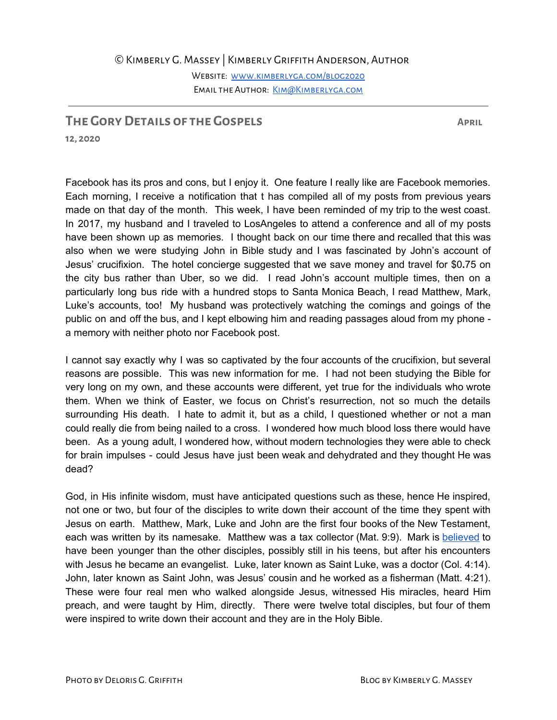©Kimberly G. Massey | Kimberly Griffith Anderson, Author

WEBSITE: WWW.KIMBERLYGA.COM/BLOG2020 Email the Author: [Kim@Kimberlyga.com](mailto:Kim@Kimberlyga.com)

## **The GoryDetails of the Gospels April**

**12, 2020**

Facebook has its pros and cons, but I enjoy it. One feature I really like are Facebook memories. Each morning, I receive a notification that t has compiled all of my posts from previous years made on that day of the month. This week, I have been reminded of my trip to the west coast. In 2017, my husband and I traveled to LosAngeles to attend a conference and all of my posts have been shown up as memories. I thought back on our time there and recalled that this was also when we were studying John in Bible study and I was fascinated by John's account of Jesus' crucifixion. The hotel concierge suggested that we save money and travel for \$0**.**75 on the city bus rather than Uber, so we did. I read John's account multiple times, then on a particularly long bus ride with a hundred stops to Santa Monica Beach, I read Matthew, Mark, Luke's accounts, too! My husband was protectively watching the comings and goings of the public on and off the bus, and I kept elbowing him and reading passages aloud from my phone a memory with neither photo nor Facebook post.

I cannot say exactly why I was so captivated by the four accounts of the crucifixion, but several reasons are possible. This was new information for me. I had not been studying the Bible for very long on my own, and these accounts were different, yet true for the individuals who wrote them. When we think of Easter, we focus on Christ's resurrection, not so much the details surrounding His death. I hate to admit it, but as a child, I questioned whether or not a man could really die from being nailed to a cross. I wondered how much blood loss there would have been. As a young adult, I wondered how, without modern technologies they were able to check for brain impulses - could Jesus have just been weak and dehydrated and they thought He was dead?

God, in His infinite wisdom, must have anticipated questions such as these, hence He inspired, not one or two, but four of the disciples to write down their account of the time they spent with Jesus on earth. Matthew, Mark, Luke and John are the first four books of the New Testament, each was written by its namesake. Matthew was a tax collector (Mat. 9:9). Mark is [believed](https://www.churchofjesuschrist.org/study/new-era/2007/01/who-are-matthew-mark-luke-and-john?lang=eng) to have been younger than the other disciples, possibly still in his teens, but after his encounters with Jesus he became an evangelist. Luke, later known as Saint Luke, was a doctor (Col. 4:14). John, later known as Saint John, was Jesus' cousin and he worked as a fisherman (Matt. 4:21). These were four real men who walked alongside Jesus, witnessed His miracles, heard Him preach, and were taught by Him, directly. There were twelve total disciples, but four of them were inspired to write down their account and they are in the Holy Bible.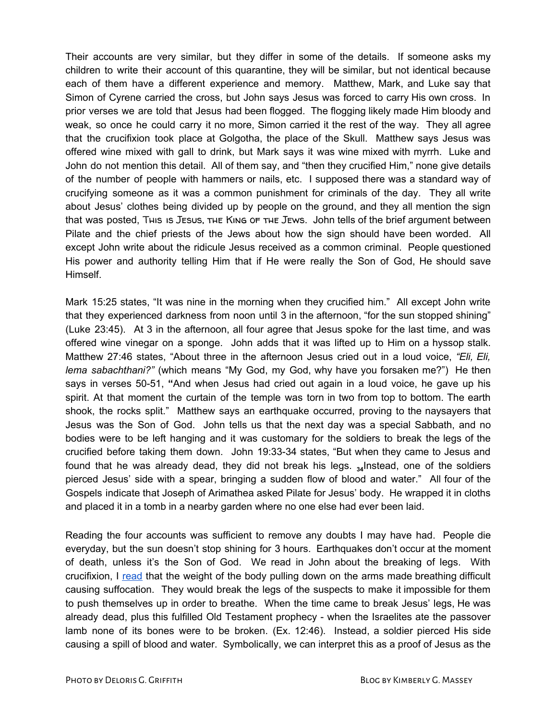Their accounts are very similar, but they differ in some of the details. If someone asks my children to write their account of this quarantine, they will be similar, but not identical because each of them have a different experience and memory. Matthew, Mark, and Luke say that Simon of Cyrene carried the cross, but John says Jesus was forced to carry His own cross. In prior verses we are told that Jesus had been flogged. The flogging likely made Him bloody and weak, so once he could carry it no more, Simon carried it the rest of the way. They all agree that the crucifixion took place at Golgotha, the place of the Skull. Matthew says Jesus was offered wine mixed with gall to drink, but Mark says it was wine mixed with myrrh. Luke and John do not mention this detail. All of them say, and "then they crucified Him," none give details of the number of people with hammers or nails, etc. I supposed there was a standard way of crucifying someone as it was a common punishment for criminals of the day. They all write about Jesus' clothes being divided up by people on the ground, and they all mention the sign that was posted, This is JESUS, THE King of THE JEWS. John tells of the brief argument between Pilate and the chief priests of the Jews about how the sign should have been worded. All except John write about the ridicule Jesus received as a common criminal. People questioned His power and authority telling Him that if He were really the Son of God, He should save Himself.

Mark 15:25 states, "It was nine in the morning when they crucified him." All except John write that they experienced darkness from noon until 3 in the afternoon, "for the sun stopped shining" (Luke 23:45). At 3 in the afternoon, all four agree that Jesus spoke for the last time, and was offered wine vinegar on a sponge. John adds that it was lifted up to Him on a hyssop stalk. Matthew 27:46 states, "About three in the afternoon Jesus cried out in a loud voice, *"Eli, Eli, lema sabachthani?"* (which means "My God, my God, why have you forsaken me?") He then says in verses 50-51, **"**And when Jesus had cried out again in a loud voice, he gave up his spirit. At that moment the curtain of the temple was torn in two from top to bottom. The earth shook, the rocks split." Matthew says an earthquake occurred, proving to the naysayers that Jesus was the Son of God. John tells us that the next day was a special Sabbath, and no bodies were to be left hanging and it was customary for the soldiers to break the legs of the crucified before taking them down. John 19:33-34 states, "But when they came to Jesus and found that he was already dead, they did not break his legs. <sub>34</sub>Instead, one of the soldiers pierced Jesus' side with a spear, bringing a sudden flow of blood and water." All four of the Gospels indicate that Joseph of Arimathea asked Pilate for Jesus' body. He wrapped it in cloths and placed it in a tomb in a nearby garden where no one else had ever been laid.

Reading the four accounts was sufficient to remove any doubts I may have had. People die everyday, but the sun doesn't stop shining for 3 hours. Earthquakes don't occur at the moment of death, unless it's the Son of God. We read in John about the breaking of legs. With crucifixion, I [read](https://www.theguardian.com/science/2004/apr/08/thisweekssciencequestions) that the weight of the body pulling down on the arms made breathing difficult causing suffocation. They would break the legs of the suspects to make it impossible for them to push themselves up in order to breathe. When the time came to break Jesus' legs, He was already dead, plus this fulfilled Old Testament prophecy - when the Israelites ate the passover lamb none of its bones were to be broken. (Ex. 12:46). Instead, a soldier pierced His side causing a spill of blood and water. Symbolically, we can interpret this as a proof of Jesus as the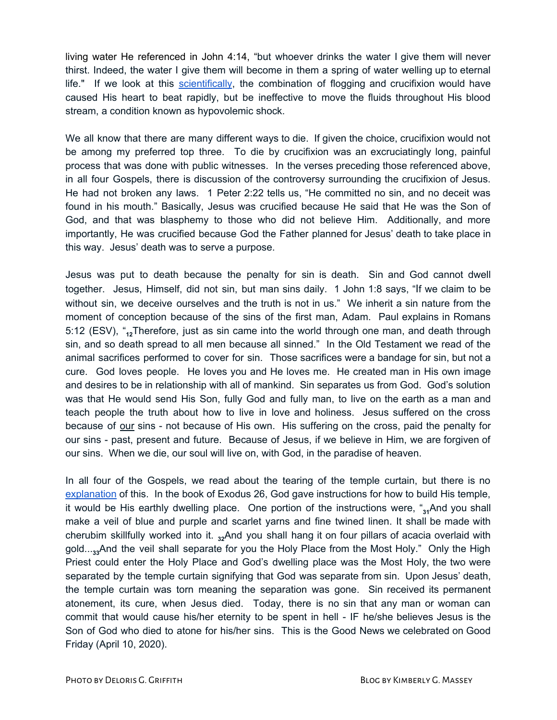living water He referenced in John 4:14, "but whoever drinks the water I give them will never thirst. Indeed, the water I give them will become in them a spring of water welling up to eternal life." If we look at this [scientifically](https://www.gotquestions.org/blood-water-Jesus.html), the combination of flogging and crucifixion would have caused His heart to beat rapidly, but be ineffective to move the fluids throughout His blood stream, a condition known as hypovolemic shock.

We all know that there are many different ways to die. If given the choice, crucifixion would not be among my preferred top three. To die by crucifixion was an excruciatingly long, painful process that was done with public witnesses. In the verses preceding those referenced above, in all four Gospels, there is discussion of the controversy surrounding the crucifixion of Jesus. He had not broken any laws. 1 Peter 2:22 tells us, "He committed no sin, and no deceit was found in his mouth." Basically, Jesus was crucified because He said that He was the Son of God, and that was blasphemy to those who did not believe Him. Additionally, and more importantly, He was crucified because God the Father planned for Jesus' death to take place in this way. Jesus' death was to serve a purpose.

Jesus was put to death because the penalty for sin is death. Sin and God cannot dwell together. Jesus, Himself, did not sin, but man sins daily. 1 John 1:8 says, "If we claim to be without sin, we deceive ourselves and the truth is not in us." We inherit a sin nature from the moment of conception because of the sins of the first man, Adam. Paul explains in Romans 5:12 (ESV), "**12**Therefore, just as sin came into the world through one man, and death through sin, and so death spread to all men because all sinned." In the Old Testament we read of the animal sacrifices performed to cover for sin. Those sacrifices were a bandage for sin, but not a cure. God loves people. He loves you and He loves me. He created man in His own image and desires to be in relationship with all of mankind. Sin separates us from God. God's solution was that He would send His Son, fully God and fully man, to live on the earth as a man and teach people the truth about how to live in love and holiness. Jesus suffered on the cross because of our sins - not because of His own. His suffering on the cross, paid the penalty for our sins - past, present and future. Because of Jesus, if we believe in Him, we are forgiven of our sins. When we die, our soul will live on, with God, in the paradise of heaven.

In all four of the Gospels, we read about the tearing of the temple curtain, but there is no [explanation](https://www.gotquestions.org/Most-Holy-Place.html) of this. In the book of Exodus 26, God gave instructions for how to build His temple, it would be His earthly dwelling place. One portion of the instructions were, "34And you shall make a veil of blue and purple and scarlet yarns and fine twined linen. It shall be made with cherubim skillfully worked into it. **<sup>32</sup>**And you shall hang it on four pillars of acacia overlaid with gold...<sub>33</sub>And the veil shall separate for you the Holy Place from the Most Holy." Only the High Priest could enter the Holy Place and God's dwelling place was the Most Holy, the two were separated by the temple curtain signifying that God was separate from sin. Upon Jesus' death, the temple curtain was torn meaning the separation was gone. Sin received its permanent atonement, its cure, when Jesus died. Today, there is no sin that any man or woman can commit that would cause his/her eternity to be spent in hell - IF he/she believes Jesus is the Son of God who died to atone for his/her sins. This is the Good News we celebrated on Good Friday (April 10, 2020).